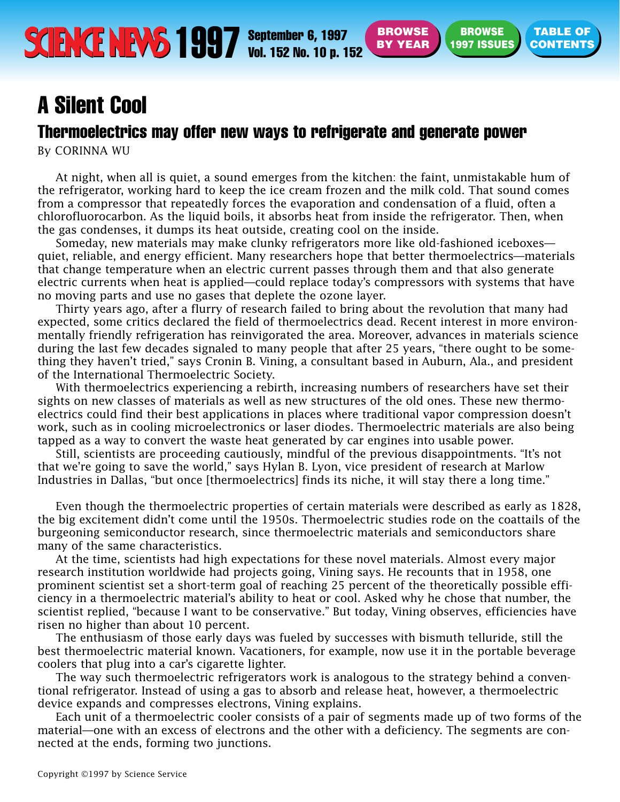**TABLE OF**

## <span id="page-0-1"></span><span id="page-0-0"></span>Thermoelectrics may offer new ways to refrigerate and generate power

By CORINNA WU

At night, when all is quiet, a sound emerges from the kitchen: the faint, unmistakable hum of the refrigerator, working hard to keep the ice cream frozen and the milk cold. That sound comes from a compressor that repeatedly forces the evaporation and condensation of a fluid, often a chlorofluorocarbon. As the liquid boils, it absorbs heat from inside the refrigerator. Then, when the gas condenses, it dumps its heat outside, creating cool on the inside.

Someday, new materials may make clunky refrigerators more like old-fashioned iceboxes quiet, reliable, and energy efficient. Many researchers hope that better thermoelectrics—materials that change temperature when an electric current passes through them and that also generate electric currents when heat is applied—could replace today's compressors with systems that have no moving parts and use no gases that deplete the ozone layer.

Thirty years ago, after a flurry of research failed to bring about the revolution that many had expected, some critics declared the field of thermoelectrics dead. Recent interest in more environmentally friendly refrigeration has reinvigorated the area. Moreover, advances in materials science during the last few decades signaled to many people that after 25 years, "there ought to be something they haven't tried," says Cronin B. Vining, a consultant based in Auburn, Ala., and president of the International Thermoelectric Society.

With thermoelectrics experiencing a rebirth, increasing numbers of researchers have set their sights on new classes of materials as well as new structures of the old ones. These new thermoelectrics could find their best applications in places where traditional vapor compression doesn't work, such as in cooling microelectronics or laser diodes. Thermoelectric materials are also being tapped as a way to convert the waste heat generated by car engines into usable power.

Still, scientists are proceeding cautiously, mindful of the previous disappointments. "It's not that we're going to save the world," says Hylan B. Lyon, vice president of research at Marlow Industries in Dallas, "but once [thermoelectrics] finds its niche, it will stay there a long time."

Even though the thermoelectric properties of certain materials were described as early as 1828, the big excitement didn't come until the 1950s. Thermoelectric studies rode on the coattails of the burgeoning semiconductor research, since thermoelectric materials and semiconductors share many of the same characteristics.

At the time, scientists had high expectations for these novel materials. Almost every major research institution worldwide had projects going, Vining says. He recounts that in 1958, one prominent scientist set a short-term goal of reaching 25 percent of the theoretically possible efficiency in a thermoelectric material's ability to heat or cool. Asked why he chose that number, the scientist replied, "because I want to be conservative." But today, Vining observes, efficiencies have risen no higher than about 10 percent.

The enthusiasm of those early days was fueled by successes with bismuth telluride, still the best thermoelectric material known. Vacationers, for example, now use it in the portable beverage coolers that plug into a car's cigarette lighter.

The way such thermoelectric refrigerators work is analogous to the strategy behind a conventional refrigerator. Instead of using a gas to absorb and release heat, however, a thermoelectric device expands and compresses electrons, Vining explains.

Each unit of a thermoelectric cooler consists of a pair of segments made up of two forms of the material—one with an excess of electrons and the other with a deficiency. The segments are connected at the ends, forming two junctions.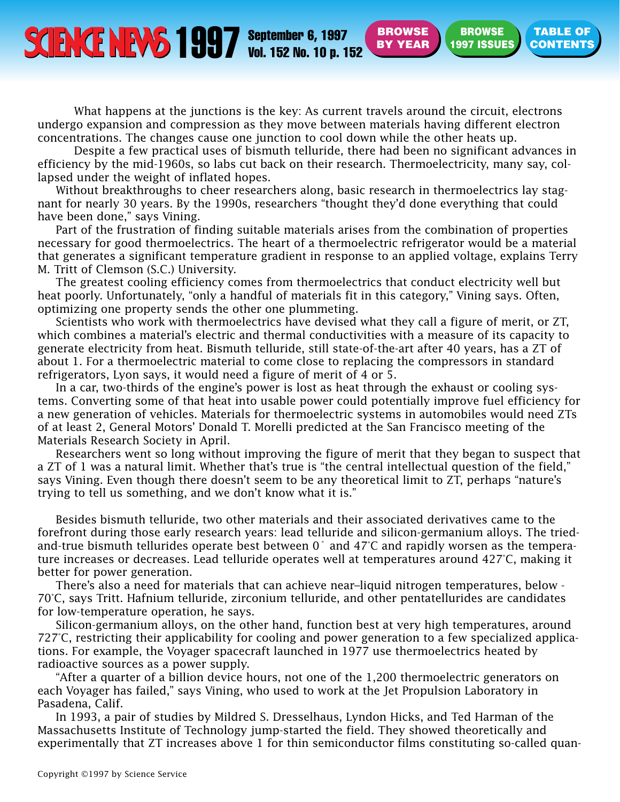September 6, 1997 **[CONTENTS](#page-0-0) SEPTEMBER 6, 1997 SPROWSE BY YEAR (1997 ISSUES) CONTENTS** 

**BROWSE [BY YEAR](#page-0-0)**

**BROWSE [1997 ISSUES](#page-0-0)** **TABLE OF**

What happens at the junctions is the key: As current travels around the circuit, electrons undergo expansion and compression as they move between materials having different electron concentrations. The changes cause one junction to cool down while the other heats up.

Despite a few practical uses of bismuth telluride, there had been no significant advances in efficiency by the mid-1960s, so labs cut back on their research. Thermoelectricity, many say, collapsed under the weight of inflated hopes.

Without breakthroughs to cheer researchers along, basic research in thermoelectrics lay stagnant for nearly 30 years. By the 1990s, researchers "thought they'd done everything that could have been done," says Vining.

Part of the frustration of finding suitable materials arises from the combination of properties necessary for good thermoelectrics. The heart of a thermoelectric refrigerator would be a material that generates a significant temperature gradient in response to an applied voltage, explains Terry M. Tritt of Clemson (S.C.) University.

The greatest cooling efficiency comes from thermoelectrics that conduct electricity well but heat poorly. Unfortunately, "only a handful of materials fit in this category," Vining says. Often, optimizing one property sends the other one plummeting.

Scientists who work with thermoelectrics have devised what they call a figure of merit, or ZT, which combines a material's electric and thermal conductivities with a measure of its capacity to generate electricity from heat. Bismuth telluride, still state-of-the-art after 40 years, has a ZT of about 1. For a thermoelectric material to come close to replacing the compressors in standard refrigerators, Lyon says, it would need a figure of merit of 4 or 5.

In a car, two-thirds of the engine's power is lost as heat through the exhaust or cooling systems. Converting some of that heat into usable power could potentially improve fuel efficiency for a new generation of vehicles. Materials for thermoelectric systems in automobiles would need ZTs of at least 2, General Motors' Donald T. Morelli predicted at the San Francisco meeting of the Materials Research Society in April.

Researchers went so long without improving the figure of merit that they began to suspect that a ZT of 1 was a natural limit. Whether that's true is "the central intellectual question of the field," says Vining. Even though there doesn't seem to be any theoretical limit to ZT, perhaps "nature's trying to tell us something, and we don't know what it is."

Besides bismuth telluride, two other materials and their associated derivatives came to the forefront during those early research years: lead telluride and silicon-germanium alloys. The triedand-true bismuth tellurides operate best between 0˚ and 47°C and rapidly worsen as the temperature increases or decreases. Lead telluride operates well at temperatures around 427°C, making it better for power generation.

There's also a need for materials that can achieve near–liquid nitrogen temperatures, below - 70°C, says Tritt. Hafnium telluride, zirconium telluride, and other pentatellurides are candidates for low-temperature operation, he says.

Silicon-germanium alloys, on the other hand, function best at very high temperatures, around 727°C, restricting their applicability for cooling and power generation to a few specialized applications. For example, the Voyager spacecraft launched in 1977 use thermoelectrics heated by radioactive sources as a power supply.

"After a quarter of a billion device hours, not one of the 1,200 thermoelectric generators on each Voyager has failed," says Vining, who used to work at the Jet Propulsion Laboratory in Pasadena, Calif.

In 1993, a pair of studies by Mildred S. Dresselhaus, Lyndon Hicks, and Ted Harman of the Massachusetts Institute of Technology jump-started the field. They showed theoretically and experimentally that ZT increases above 1 for thin semiconductor films constituting so-called quan-